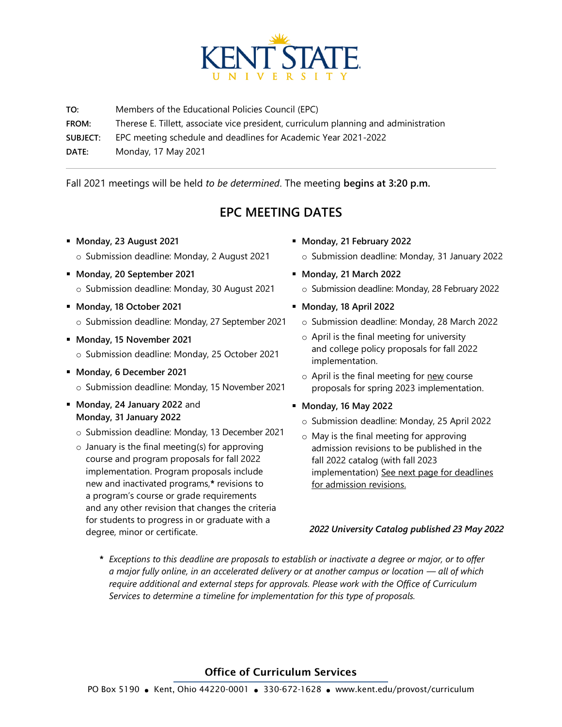

**TO:** Members of the Educational Policies Council (EPC) **FROM:** Therese E. Tillett, associate vice president, curriculum planning and administration **SUBJECT:** EPC meeting schedule and deadlines for Academic Year 2021-2022 **DATE:** Monday, 17 May 2021

Fall 2021 meetings will be held *to be determined*. The meeting **begins at 3:20 p.m.**

## **EPC MEETING DATES**

- **Monday, 23 August 2021** o Submission deadline: Monday, 2 August 2021
- **Monday, 20 September 2021** o Submission deadline: Monday, 30 August 2021
- **Monday, 18 October 2021** o Submission deadline: Monday, 27 September 2021
- **Monday, 15 November 2021** o Submission deadline: Monday, 25 October 2021
- **Monday, 6 December 2021** o Submission deadline: Monday, 15 November 2021
- **Monday, 24 January 2022** and **Monday, 31 January 2022**
	- o Submission deadline: Monday, 13 December 2021
	- $\circ$  January is the final meeting(s) for approving course and program proposals for fall 2022 implementation. Program proposals include new and inactivated programs,**\*** revisions to a program's course or grade requirements and any other revision that changes the criteria for students to progress in or graduate with a degree, minor or certificate.
- **Monday, 21 February 2022**
	- o Submission deadline: Monday, 31 January 2022
- **Monday, 21 March 2022**
	- o Submission deadline: Monday, 28 February 2022
- **Monday, 18 April 2022**
	- o Submission deadline: Monday, 28 March 2022
	- o April is the final meeting for university and college policy proposals for fall 2022 implementation.
	- $\circ$  April is the final meeting for new course proposals for spring 2023 implementation.
- **Monday, 16 May 2022**
	- o Submission deadline: Monday, 25 April 2022
	- o May is the final meeting for approving admission revisions to be published in the fall 2022 catalog (with fall 2023 implementation) See next page for deadlines for admission revisions.

## *2022 University Catalog published 23 May 2022*

*\* Exceptions to this deadline are proposals to establish or inactivate a degree or major, or to offer a major fully online, in an accelerated delivery or at another campus or location — all of which require additional and external steps for approvals. Please work with the Office of Curriculum Services to determine a timeline for implementation for this type of proposals.*

## Office of Curriculum Services